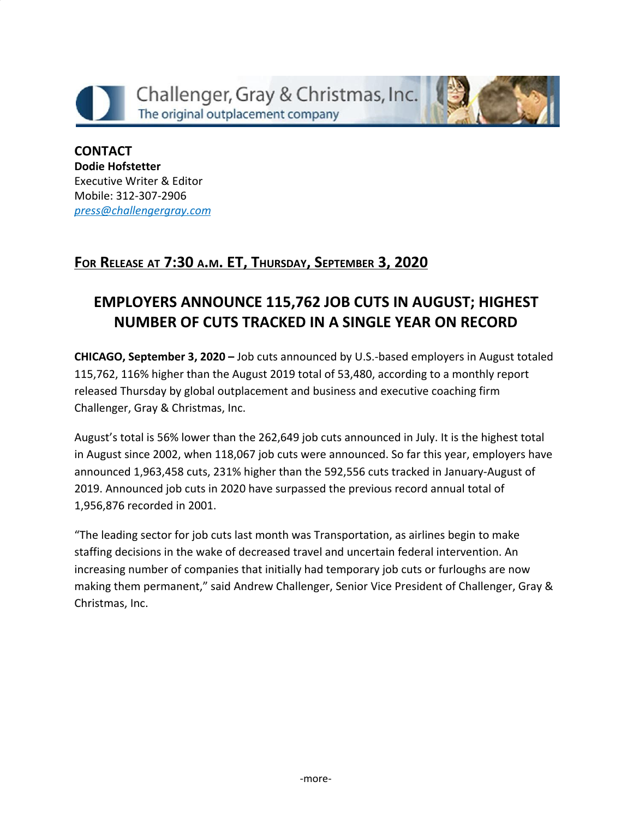



**CONTACT Dodie Hofstetter** Executive Writer & Editor Mobile: 312-307-2906 *[press@challengergray.com](mailto:press@challengergray.com)*

## **FOR RELEASE AT 7:30 <sup>A</sup>.M. ET, THURSDAY, SEPTEMBER 3, 2020**

# **EMPLOYERS ANNOUNCE 115,762 JOB CUTS IN AUGUST; HIGHEST NUMBER OF CUTS TRACKED IN A SINGLE YEAR ON RECORD**

**CHICAGO, September 3, 2020 –** Job cuts announced by U.S.-based employers in August totaled 115,762, 116% higher than the August 2019 total of 53,480, according to a monthly report released Thursday by global outplacement and business and executive coaching firm Challenger, Gray & Christmas, Inc.

August's total is 56% lower than the 262,649 job cuts announced in July. It is the highest total in August since 2002, when 118,067 job cuts were announced. So far this year, employers have announced 1,963,458 cuts, 231% higher than the 592,556 cuts tracked in January-August of 2019. Announced job cuts in 2020 have surpassed the previous record annual total of 1,956,876 recorded in 2001.

"The leading sector for job cuts last month was Transportation, as airlines begin to make staffing decisions in the wake of decreased travel and uncertain federal intervention. An increasing number of companies that initially had temporary job cuts or furloughs are now making them permanent," said Andrew Challenger, Senior Vice President of Challenger, Gray & Christmas, Inc.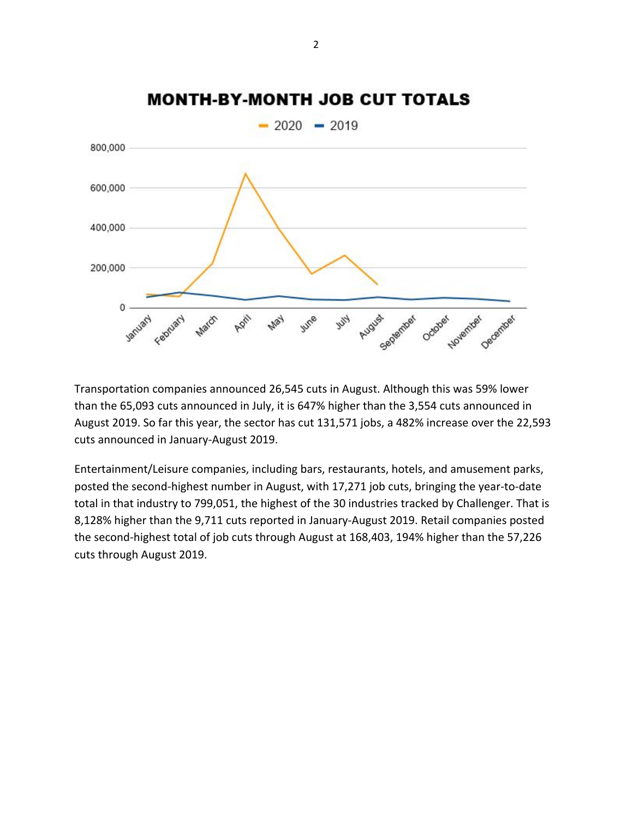

## **MONTH-BY-MONTH JOB CUT TOTALS**

Transportation companies announced 26,545 cuts in August. Although this was 59% lower than the 65,093 cuts announced in July, it is 647% higher than the 3,554 cuts announced in August 2019. So far this year, the sector has cut 131,571 jobs, a 482% increase over the 22,593 cuts announced in January-August 2019.

Entertainment/Leisure companies, including bars, restaurants, hotels, and amusement parks, posted the second-highest number in August, with 17,271 job cuts, bringing the year-to-date total in that industry to 799,051, the highest of the 30 industries tracked by Challenger. That is 8,128% higher than the 9,711 cuts reported in January-August 2019. Retail companies posted the second-highest total of job cuts through August at 168,403, 194% higher than the 57,226 cuts through August 2019.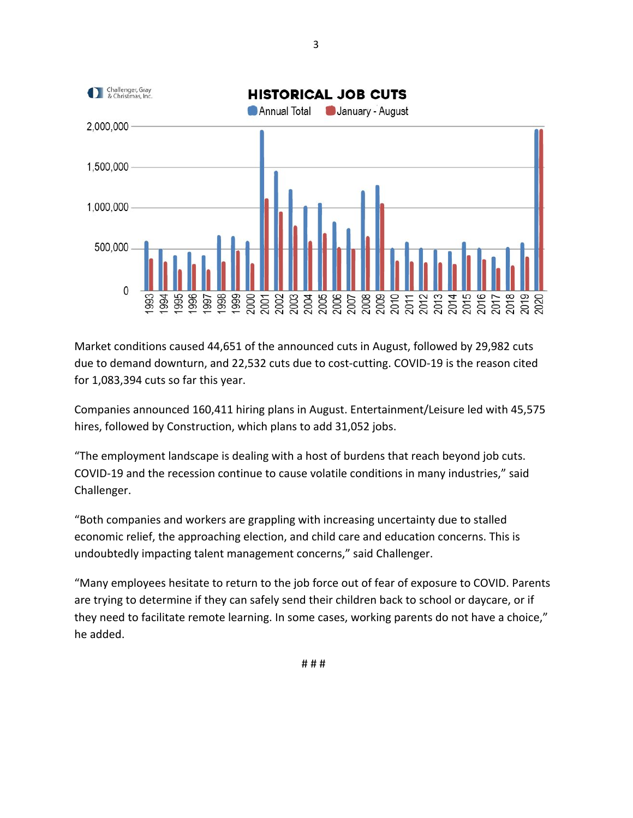

Market conditions caused 44,651 of the announced cuts in August, followed by 29,982 cuts due to demand downturn, and 22,532 cuts due to cost-cutting. COVID-19 is the reason cited for 1,083,394 cuts so far this year.

Companies announced 160,411 hiring plans in August. Entertainment/Leisure led with 45,575 hires, followed by Construction, which plans to add 31,052 jobs.

"The employment landscape is dealing with a host of burdens that reach beyond job cuts. COVID-19 and the recession continue to cause volatile conditions in many industries," said Challenger.

"Both companies and workers are grappling with increasing uncertainty due to stalled economic relief, the approaching election, and child care and education concerns. This is undoubtedly impacting talent management concerns," said Challenger.

"Many employees hesitate to return to the job force out of fear of exposure to COVID. Parents are trying to determine if they can safely send their children back to school or daycare, or if they need to facilitate remote learning. In some cases, working parents do not have a choice," he added.

3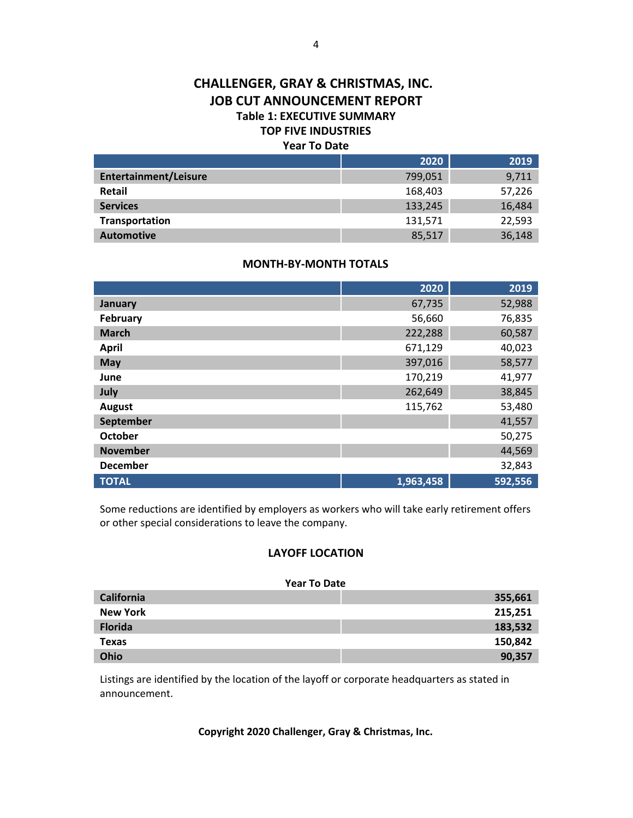#### **CHALLENGER, GRAY & CHRISTMAS, INC. JOB CUT ANNOUNCEMENT REPORT Table 1: EXECUTIVE SUMMARY TOP FIVE INDUSTRIES Year To Date**

|                              | 2020    | 2019   |
|------------------------------|---------|--------|
| <b>Entertainment/Leisure</b> | 799,051 | 9,711  |
| Retail                       | 168,403 | 57,226 |
| <b>Services</b>              | 133,245 | 16,484 |
| Transportation               | 131,571 | 22,593 |
| <b>Automotive</b>            | 85,517  | 36,148 |

#### **MONTH-BY-MONTH TOTALS**

|                  | 2020      | 2019    |
|------------------|-----------|---------|
| <b>January</b>   | 67,735    | 52,988  |
| February         | 56,660    | 76,835  |
| <b>March</b>     | 222,288   | 60,587  |
| <b>April</b>     | 671,129   | 40,023  |
| May              | 397,016   | 58,577  |
| June             | 170,219   | 41,977  |
| July             | 262,649   | 38,845  |
| <b>August</b>    | 115,762   | 53,480  |
| <b>September</b> |           | 41,557  |
| <b>October</b>   |           | 50,275  |
| <b>November</b>  |           | 44,569  |
| <b>December</b>  |           | 32,843  |
| <b>TOTAL</b>     | 1,963,458 | 592,556 |

Some reductions are identified by employers as workers who will take early retirement offers or other special considerations to leave the company.

#### **LAYOFF LOCATION**

#### **Year To Date**

| California      | 355,661 |
|-----------------|---------|
| <b>New York</b> | 215,251 |
| <b>Florida</b>  | 183,532 |
| <b>Texas</b>    | 150,842 |
| Ohio            | 90,357  |

Listings are identified by the location of the layoff or corporate headquarters as stated in announcement.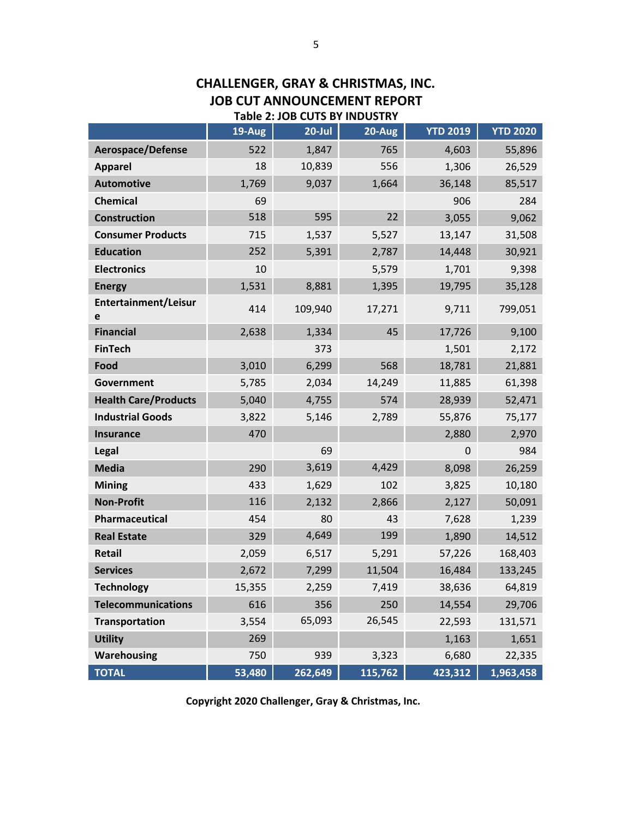|                             | 19-Aug | $20$ -Jul | 20-Aug  | <b>YTD 2019</b> | <b>YTD 2020</b> |
|-----------------------------|--------|-----------|---------|-----------------|-----------------|
| Aerospace/Defense           | 522    | 1,847     | 765     | 4,603           | 55,896          |
| <b>Apparel</b>              | 18     | 10,839    | 556     | 1,306           | 26,529          |
| <b>Automotive</b>           | 1,769  | 9,037     | 1,664   | 36,148          | 85,517          |
| <b>Chemical</b>             | 69     |           |         | 906             | 284             |
| <b>Construction</b>         | 518    | 595       | 22      | 3,055           | 9,062           |
| <b>Consumer Products</b>    | 715    | 1,537     | 5,527   | 13,147          | 31,508          |
| <b>Education</b>            | 252    | 5,391     | 2,787   | 14,448          | 30,921          |
| <b>Electronics</b>          | 10     |           | 5,579   | 1,701           | 9,398           |
| <b>Energy</b>               | 1,531  | 8,881     | 1,395   | 19,795          | 35,128          |
| Entertainment/Leisur<br>e   | 414    | 109,940   | 17,271  | 9,711           | 799,051         |
| <b>Financial</b>            | 2,638  | 1,334     | 45      | 17,726          | 9,100           |
| <b>FinTech</b>              |        | 373       |         | 1,501           | 2,172           |
| Food                        | 3,010  | 6,299     | 568     | 18,781          | 21,881          |
| Government                  | 5,785  | 2,034     | 14,249  | 11,885          | 61,398          |
| <b>Health Care/Products</b> | 5,040  | 4,755     | 574     | 28,939          | 52,471          |
| <b>Industrial Goods</b>     | 3,822  | 5,146     | 2,789   | 55,876          | 75,177          |
| <b>Insurance</b>            | 470    |           |         | 2,880           | 2,970           |
| Legal                       |        | 69        |         | $\overline{0}$  | 984             |
| <b>Media</b>                | 290    | 3,619     | 4,429   | 8,098           | 26,259          |
| <b>Mining</b>               | 433    | 1,629     | 102     | 3,825           | 10,180          |
| <b>Non-Profit</b>           | 116    | 2,132     | 2,866   | 2,127           | 50,091          |
| Pharmaceutical              | 454    | 80        | 43      | 7,628           | 1,239           |
| <b>Real Estate</b>          | 329    | 4,649     | 199     | 1,890           | 14,512          |
| <b>Retail</b>               | 2,059  | 6,517     | 5,291   | 57,226          | 168,403         |
| <b>Services</b>             | 2,672  | 7,299     | 11,504  | 16,484          | 133,245         |
| <b>Technology</b>           | 15,355 | 2,259     | 7,419   | 38,636          | 64,819          |
| <b>Telecommunications</b>   | 616    | 356       | 250     | 14,554          | 29,706          |
| Transportation              | 3,554  | 65,093    | 26,545  | 22,593          | 131,571         |
| <b>Utility</b>              | 269    |           |         | 1,163           | 1,651           |
| <b>Warehousing</b>          | 750    | 939       | 3,323   | 6,680           | 22,335          |
| <b>TOTAL</b>                | 53,480 | 262,649   | 115,762 | 423,312         | 1,963,458       |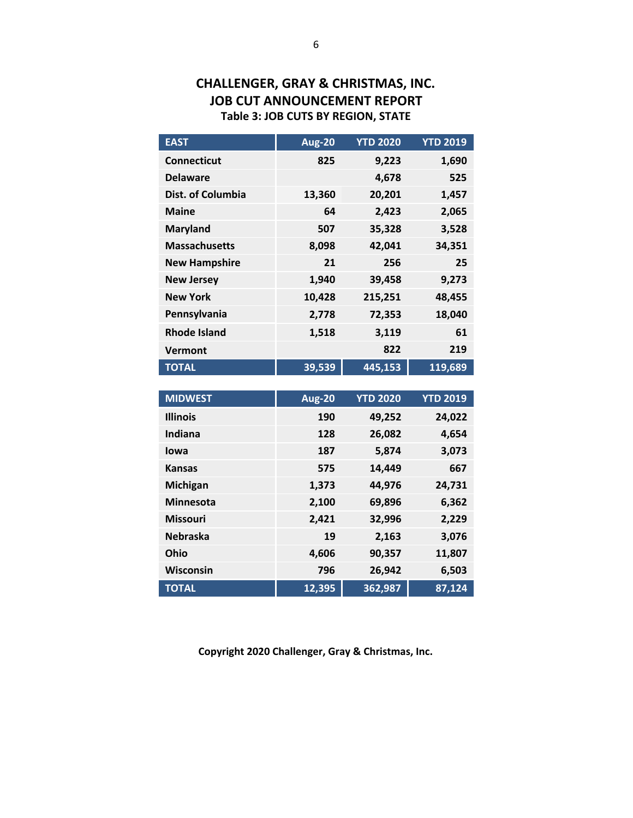## **CHALLENGER, GRAY & CHRISTMAS, INC. JOB CUT ANNOUNCEMENT REPORT Table 3: JOB CUTS BY REGION, STATE**

| <b>EAST</b>          | <b>Aug-20</b> | <b>YTD 2020</b> | <b>YTD 2019</b> |
|----------------------|---------------|-----------------|-----------------|
| <b>Connecticut</b>   | 825           | 9,223           | 1,690           |
| <b>Delaware</b>      |               | 4,678           | 525             |
| Dist. of Columbia    | 13,360        | 20,201          | 1,457           |
| <b>Maine</b>         | 64            | 2,423           | 2,065           |
| <b>Maryland</b>      | 507           | 35,328          | 3,528           |
| <b>Massachusetts</b> | 8,098         | 42,041          | 34,351          |
| <b>New Hampshire</b> | 21            | 256             | 25              |
| <b>New Jersey</b>    | 1,940         | 39,458          | 9,273           |
| <b>New York</b>      | 10,428        | 215,251         | 48,455          |
| Pennsylvania         | 2,778         | 72,353          | 18,040          |
| <b>Rhode Island</b>  | 1,518         | 3,119           | 61              |
| Vermont              |               | 822             | 219             |
| <b>TOTAL</b>         | 39,539        | 445,153         | 119,689         |

| <b>MIDWEST</b>   | <b>Aug-20</b> | <b>YTD 2020</b> | <b>YTD 2019</b> |
|------------------|---------------|-----------------|-----------------|
| <b>Illinois</b>  | 190           | 49,252          | 24,022          |
| Indiana          | 128           | 26,082          | 4,654           |
| lowa             | 187           | 5,874           | 3,073           |
| <b>Kansas</b>    | 575           | 14,449          | 667             |
| <b>Michigan</b>  | 1,373         | 44,976          | 24,731          |
| <b>Minnesota</b> | 2,100         | 69,896          | 6,362           |
| <b>Missouri</b>  | 2,421         | 32,996          | 2,229           |
| <b>Nebraska</b>  | 19            | 2,163           | 3,076           |
| Ohio             | 4,606         | 90,357          | 11,807          |
| Wisconsin        | 796           | 26,942          | 6,503           |
| <b>TOTAL</b>     | 12,395        | 362,987         | 87,124          |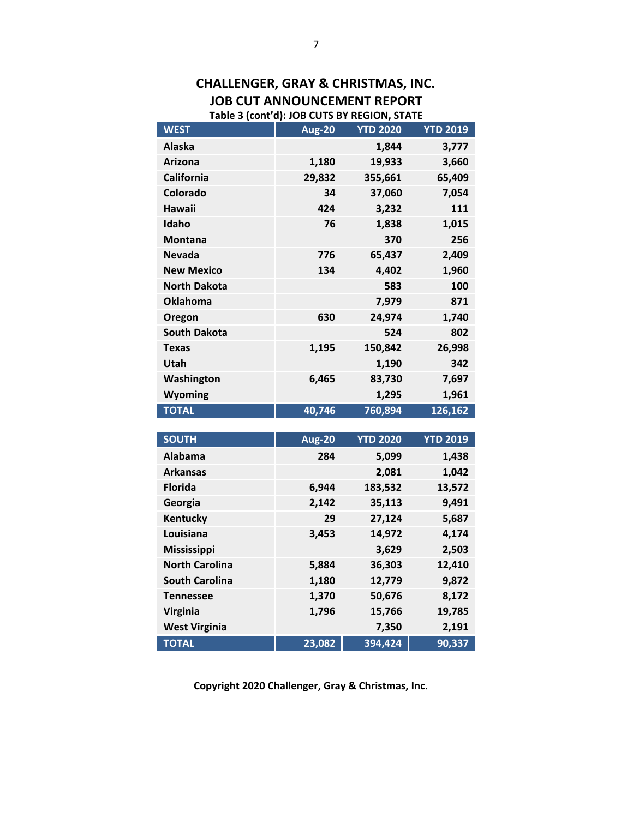#### **CHALLENGER, GRAY & CHRISTMAS, INC. JOB CUT ANNOUNCEMENT REPORT Table 3 (cont'd): JOB CUTS BY REGION, STATE**

| <b>WEST</b>         | <b>Aug-20</b> | <b>YTD 2020</b> | <b>YTD 2019</b> |
|---------------------|---------------|-----------------|-----------------|
| Alaska              |               | 1,844           | 3,777           |
| <b>Arizona</b>      | 1,180         | 19,933          | 3,660           |
| <b>California</b>   | 29,832        | 355,661         | 65,409          |
| Colorado            | 34            | 37,060          | 7,054           |
| Hawaii              | 424           | 3,232           | 111             |
| Idaho               | 76            | 1,838           | 1,015           |
| <b>Montana</b>      |               | 370             | 256             |
| <b>Nevada</b>       | 776           | 65,437          | 2,409           |
| <b>New Mexico</b>   | 134           | 4,402           | 1,960           |
| <b>North Dakota</b> |               | 583             | 100             |
| <b>Oklahoma</b>     |               | 7,979           | 871             |
| Oregon              | 630           | 24,974          | 1,740           |
| <b>South Dakota</b> |               | 524             | 802             |
| <b>Texas</b>        | 1,195         | 150,842         | 26,998          |
| Utah                |               | 1,190           | 342             |
| Washington          | 6,465         | 83,730          | 7,697           |
| Wyoming             |               | 1,295           | 1,961           |
| <b>TOTAL</b>        | 40,746        | 760,894         | 126,162         |

| <b>SOUTH</b>          | <b>Aug-20</b> | <b>YTD 2020</b> | <b>YTD 2019</b> |
|-----------------------|---------------|-----------------|-----------------|
| Alabama               | 284           | 5,099           | 1,438           |
| <b>Arkansas</b>       |               | 2,081           | 1,042           |
| <b>Florida</b>        | 6,944         | 183,532         | 13,572          |
| Georgia               | 2,142         | 35,113          | 9,491           |
| Kentucky              | 29            | 27,124          | 5,687           |
| Louisiana             | 3,453         | 14,972          | 4,174           |
| <b>Mississippi</b>    |               | 3,629           | 2,503           |
| <b>North Carolina</b> | 5,884         | 36,303          | 12,410          |
| <b>South Carolina</b> | 1,180         | 12,779          | 9,872           |
| <b>Tennessee</b>      | 1,370         | 50,676          | 8,172           |
| <b>Virginia</b>       | 1,796         | 15,766          | 19,785          |
| <b>West Virginia</b>  |               | 7,350           | 2,191           |
| <b>TOTAL</b>          | 23,082        | 394,424         | 90,337          |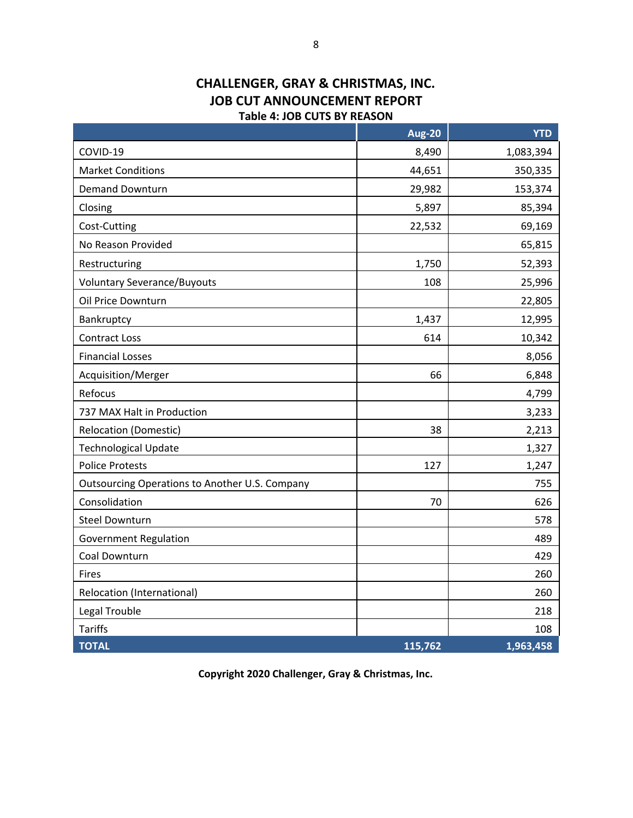#### **CHALLENGER, GRAY & CHRISTMAS, INC. JOB CUT ANNOUNCEMENT REPORT Table 4: JOB CUTS BY REASON**

|                                                       | <b>Aug-20</b> | <b>YTD</b> |
|-------------------------------------------------------|---------------|------------|
| COVID-19                                              | 8,490         | 1,083,394  |
| <b>Market Conditions</b>                              | 44,651        | 350,335    |
| <b>Demand Downturn</b>                                | 29,982        | 153,374    |
| Closing                                               | 5,897         | 85,394     |
| Cost-Cutting                                          | 22,532        | 69,169     |
| No Reason Provided                                    |               | 65,815     |
| Restructuring                                         | 1,750         | 52,393     |
| <b>Voluntary Severance/Buyouts</b>                    | 108           | 25,996     |
| Oil Price Downturn                                    |               | 22,805     |
| Bankruptcy                                            | 1,437         | 12,995     |
| <b>Contract Loss</b>                                  | 614           | 10,342     |
| <b>Financial Losses</b>                               |               | 8,056      |
| Acquisition/Merger                                    | 66            | 6,848      |
| Refocus                                               |               | 4,799      |
| 737 MAX Halt in Production                            |               | 3,233      |
| <b>Relocation (Domestic)</b>                          | 38            | 2,213      |
| <b>Technological Update</b>                           |               | 1,327      |
| <b>Police Protests</b>                                | 127           | 1,247      |
| <b>Outsourcing Operations to Another U.S. Company</b> |               | 755        |
| Consolidation                                         | 70            | 626        |
| <b>Steel Downturn</b>                                 |               | 578        |
| <b>Government Regulation</b>                          |               | 489        |
| Coal Downturn                                         |               | 429        |
| Fires                                                 |               | 260        |
| Relocation (International)                            |               | 260        |
| Legal Trouble                                         |               | 218        |
| <b>Tariffs</b>                                        |               | 108        |
| <b>TOTAL</b>                                          | 115,762       | 1,963,458  |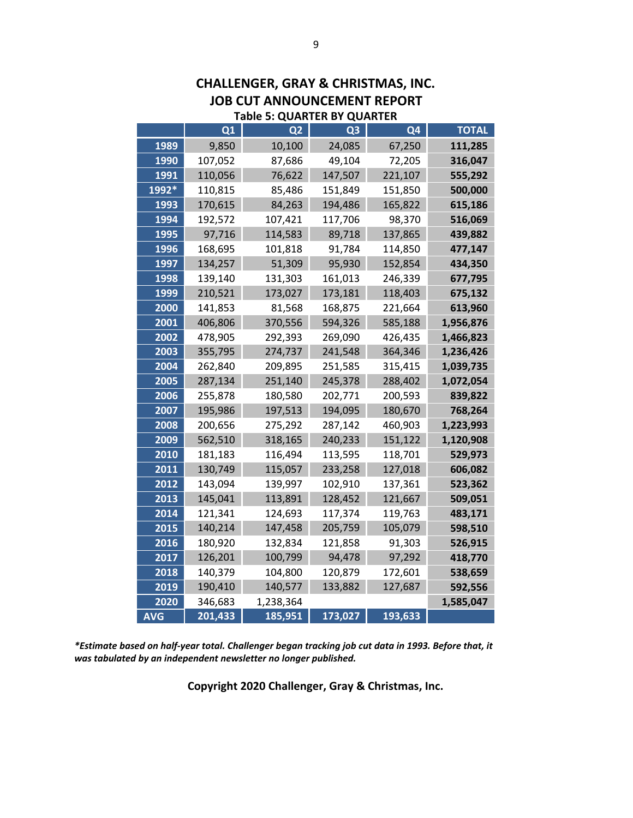| <b>Table 5: QUARTER BY QUARTER</b> |         |                |         |         |              |
|------------------------------------|---------|----------------|---------|---------|--------------|
|                                    | Q1      | Q <sub>2</sub> | Q3      | Q4      | <b>TOTAL</b> |
| 1989                               | 9,850   | 10,100         | 24,085  | 67,250  | 111,285      |
| 1990                               | 107,052 | 87,686         | 49,104  | 72,205  | 316,047      |
| 1991                               | 110,056 | 76,622         | 147,507 | 221,107 | 555,292      |
| 1992*                              | 110,815 | 85,486         | 151,849 | 151,850 | 500,000      |
| 1993                               | 170,615 | 84,263         | 194,486 | 165,822 | 615,186      |
| 1994                               | 192,572 | 107,421        | 117,706 | 98,370  | 516,069      |
| 1995                               | 97,716  | 114,583        | 89,718  | 137,865 | 439,882      |
| 1996                               | 168,695 | 101,818        | 91,784  | 114,850 | 477,147      |
| 1997                               | 134,257 | 51,309         | 95,930  | 152,854 | 434,350      |
| 1998                               | 139,140 | 131,303        | 161,013 | 246,339 | 677,795      |
| 1999                               | 210,521 | 173,027        | 173,181 | 118,403 | 675,132      |
| 2000                               | 141,853 | 81,568         | 168,875 | 221,664 | 613,960      |
| 2001                               | 406,806 | 370,556        | 594,326 | 585,188 | 1,956,876    |
| 2002                               | 478,905 | 292,393        | 269,090 | 426,435 | 1,466,823    |
| 2003                               | 355,795 | 274,737        | 241,548 | 364,346 | 1,236,426    |
| 2004                               | 262,840 | 209,895        | 251,585 | 315,415 | 1,039,735    |
| 2005                               | 287,134 | 251,140        | 245,378 | 288,402 | 1,072,054    |
| 2006                               | 255,878 | 180,580        | 202,771 | 200,593 | 839,822      |
| 2007                               | 195,986 | 197,513        | 194,095 | 180,670 | 768,264      |
| 2008                               | 200,656 | 275,292        | 287,142 | 460,903 | 1,223,993    |
| 2009                               | 562,510 | 318,165        | 240,233 | 151,122 | 1,120,908    |
| 2010                               | 181,183 | 116,494        | 113,595 | 118,701 | 529,973      |
| 2011                               | 130,749 | 115,057        | 233,258 | 127,018 | 606,082      |
| 2012                               | 143,094 | 139,997        | 102,910 | 137,361 | 523,362      |
| 2013                               | 145,041 | 113,891        | 128,452 | 121,667 | 509,051      |
| 2014                               | 121,341 | 124,693        | 117,374 | 119,763 | 483,171      |
| 2015                               | 140,214 | 147,458        | 205,759 | 105,079 | 598,510      |
| 2016                               | 180,920 | 132,834        | 121,858 | 91,303  | 526,915      |
| 2017                               | 126,201 | 100,799        | 94,478  | 97,292  | 418,770      |
| 2018                               | 140,379 | 104,800        | 120,879 | 172,601 | 538,659      |
| 2019                               | 190,410 | 140,577        | 133,882 | 127,687 | 592,556      |
| 2020                               | 346,683 | 1,238,364      |         |         | 1,585,047    |
| AVG                                | 201,433 | 185,951        | 173,027 | 193,633 |              |

**CHALLENGER, GRAY & CHRISTMAS, INC. JOB CUT ANNOUNCEMENT REPORT**

*\*Estimate based on half-year total. Challenger began tracking job cut data in 1993. Before that, it was tabulated by an independent newsletter no longer published.*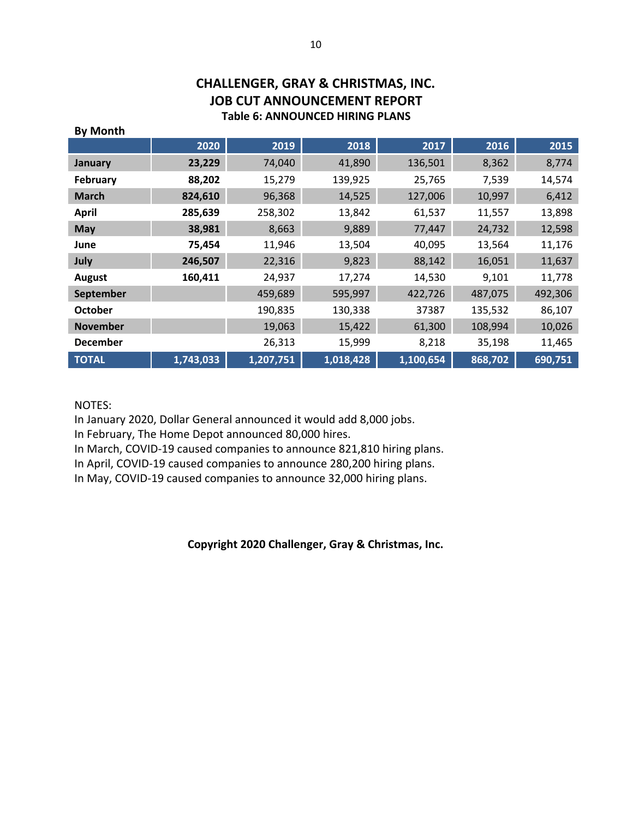## **CHALLENGER, GRAY & CHRISTMAS, INC. JOB CUT ANNOUNCEMENT REPORT Table 6: ANNOUNCED HIRING PLANS**

| <b>By Month</b> |           |           |           |           |         |         |
|-----------------|-----------|-----------|-----------|-----------|---------|---------|
|                 | 2020      | 2019      | 2018      | 2017      | 2016    | 2015    |
| <b>January</b>  | 23,229    | 74,040    | 41,890    | 136,501   | 8,362   | 8,774   |
| <b>February</b> | 88,202    | 15,279    | 139,925   | 25,765    | 7,539   | 14,574  |
| <b>March</b>    | 824,610   | 96,368    | 14,525    | 127,006   | 10,997  | 6,412   |
| <b>April</b>    | 285,639   | 258,302   | 13,842    | 61,537    | 11,557  | 13,898  |
| <b>May</b>      | 38,981    | 8,663     | 9,889     | 77,447    | 24,732  | 12,598  |
| June            | 75,454    | 11,946    | 13,504    | 40,095    | 13,564  | 11,176  |
| July            | 246,507   | 22,316    | 9,823     | 88,142    | 16,051  | 11,637  |
| <b>August</b>   | 160,411   | 24,937    | 17,274    | 14,530    | 9,101   | 11,778  |
| September       |           | 459,689   | 595,997   | 422,726   | 487,075 | 492,306 |
| <b>October</b>  |           | 190,835   | 130,338   | 37387     | 135,532 | 86,107  |
| <b>November</b> |           | 19,063    | 15,422    | 61,300    | 108,994 | 10,026  |
| <b>December</b> |           | 26,313    | 15,999    | 8,218     | 35,198  | 11,465  |
| <b>TOTAL</b>    | 1,743,033 | 1,207,751 | 1,018,428 | 1,100,654 | 868,702 | 690,751 |

#### NOTES:

In January 2020, Dollar General announced it would add 8,000 jobs.

In February, The Home Depot announced 80,000 hires.

In March, COVID-19 caused companies to announce 821,810 hiring plans.

In April, COVID-19 caused companies to announce 280,200 hiring plans.

In May, COVID-19 caused companies to announce 32,000 hiring plans.